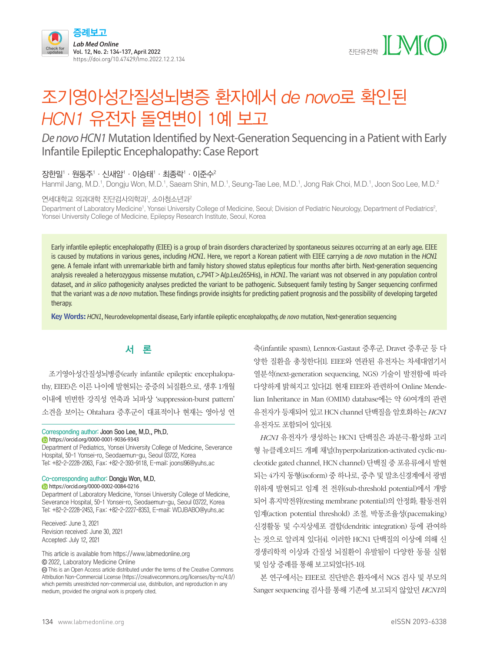



# 조기영아성간질성뇌병증 환자에서 de novo로 확인된 HCN1 유전자 돌연변이 1예 보고

# *De novo HCN1* Mutation Identified by Next-Generation Sequencing in a Patient with Early Infantile Epileptic Encephalopathy: Case Report

#### 장한밀' · 원동주' · 신새암' · 이승태' · 최종락' · 이준수<sup>2</sup>

Hanmil Jang, M.D.<sup>1</sup>, Dongju Won, M.D.<sup>1</sup>, Saeam Shin, M.D.<sup>1</sup>, Seung-Tae Lee, M.D.<sup>1</sup>, Jong Rak Choi, M.D.<sup>1</sup>, Joon Soo Lee, M.D.<sup>2</sup>

#### 연세대학교 의과대학 진단검사의학과', 소아청소년과

Department of Laboratory Medicine<sup>1</sup>, Yonsei University College of Medicine, Seoul; Division of Pediatric Neurology, Department of Pediatrics<sup>2</sup>, Yonsei University College of Medicine, Epilepsy Research Institute, Seoul, Korea

Early infantile epileptic encephalopathy (EIEE) is a group of brain disorders characterized by spontaneous seizures occurring at an early age. EIEE is caused by mutations in various genes, including HCN1. Here, we report a Korean patient with EIEE carrying a de novo mutation in the HCN1 gene. A female infant with unremarkable birth and family history showed status epilepticus four months after birth. Next-generation sequencing analysis revealed a heterozygous missense mutation, c.794T > A(p.Leu265His), in HCN1. The variant was not observed in any population control dataset, and in silico pathogenicity analyses predicted the variant to be pathogenic. Subsequent family testing by Sanger sequencing confirmed that the variant was a de novo mutation. These findings provide insights for predicting patient prognosis and the possibility of developing targeted therapy.

Key Words: HCN1, Neurodevelopmental disease, Early infantile epileptic encephalopathy, de novo mutation, Next-generation sequencing

# 서 론

조기영아성간질성뇌병증(early infantile epileptic encephalopathy, EIEE)은 이른 나이에 발현되는 중증의 뇌질환으로, 생후 1개월 이내에 빈번한 강직성 연축과 뇌파상 'suppression-burst pattern' 소견을 보이는 Ohtahara 증후군이 대표적이나 현재는 영아성 연

#### Corresponding author: Joon Soo Lee, M.D., Ph.D. https://orcid.org/0000-0001-9036-9343

Department of Pediatrics, Yonsei University College of Medicine, Severance Hospital, 50-1 Yonsei-ro, Seodaemun-gu, Seoul 03722, Korea Tel: +82-2-2228-2063, Fax: +82-2-393-9118, E-mail: joonsl96@yuhs.ac

#### Co-corresponding author: Dongju Won, M.D. **https://orcid.org/0000-0002-0084-0216**

Department of Laboratory Medicine, Yonsei University College of Medicine, Severance Hospital, 50-1 Yonsei-ro, Seodaemun-gu, Seoul 03722, Korea

Tel: +82-2-2228-2453, Fax: +82-2-2227-8353, E-mail: WDJBABO@yuhs.ac

Received: June 3, 2021 Revision received: June 30, 2021 Accepted: July 12, 2021

This article is available from https://www.labmedonline.org 2022, Laboratory Medicine Online

 This is an Open Access article distributed under the terms of the Creative Commons Attribution Non-Commercial License (https://creativecommons.org/licenses/by-nc/4.0/) which permits unrestricted non-commercial use, distribution, and reproduction in any medium, provided the original work is properly cited.

축(infantile spasm), Lennox-Gastaut 증후군, Dravet 증후군 등 다 양한 질환을 총칭한다[1]. EIEE와 연관된 유전자는 차세대염기서 열분석(next-generation sequencing, NGS) 기술이 발전함에 따라 다양하게 밝혀지고 있다[2]. 현재 EIEE와 관련하여 Online Mendelian Inheritance in Man (OMIM) database에는 약 60여개의 관련 유전자가 등재되어 있고 HCN channel 단백질을 암호화하는 *HCN1* 유전자도 포함되어 있다[3].

*HCN1* 유전자가 생성하는 HCN1 단백질은 과분극-활성화 고리 형 뉴클레오티드 개폐 채널(hyperpolarization-activated cyclic-nucleotide gated channel, HCN channel) 단백질 중 포유류에서 발현 되는 4가지 동형(isoform) 중 하나로, 중추 및 말초신경계에서 광범 위하게 발현되고 임계 전 전위(sub-threshold potential)에서 개방 되어 휴지막전위(resting membrane potential)의 안정화, 활동전위 임계(action potential threshold) 조절, 박동조율성(pacemaking) 신경활동 및 수지상세포 결합(dendritic integration) 등에 관여하 는 것으로 알려져 있다[4]. 이러한 HCN1 단백질의 이상에 의해 신 경생리학적 이상과 간질성 뇌질환이 유발됨이 다양한 동물 실험 및 임상 증례를 통해 보고되었다[5-10].

본 연구에서는 EIEE로 진단받은 환자에서 NGS 검사 및 부모의 Sanger sequencing 검사를 통해 기존에 보고되지 않았던 *HCN1*의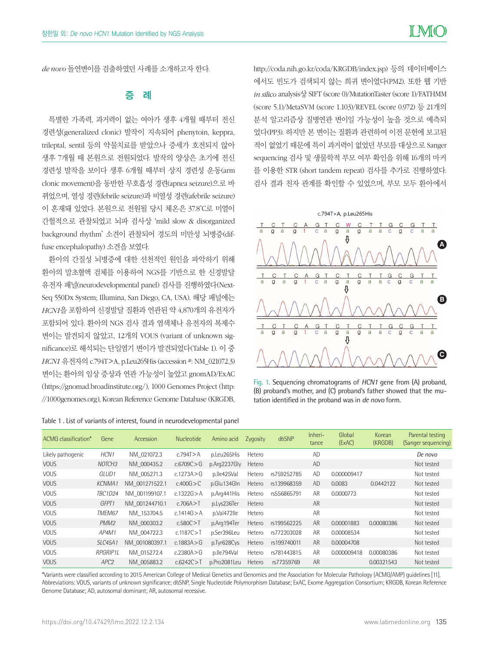*de novo* 돌연변이를 검출하였던 사례를 소개하고자 한다.

### 증 례

특별한 가족력, 과거력이 없는 여아가 생후 4개월 때부터 전신 경련성(generalized clonic) 발작이 지속되어 phenytoin, keppra, trileptal, sentil 등의 약물치료를 받았으나 증세가 호전되지 않아 생후 7개월 때 본원으로 전원되었다. 발작의 양상은 초기에 전신 경련성 발작을 보이다 생후 6개월 때부터 상지 경련성 운동(arm clonic movement)을 동반한 무호흡성 경련(apnea seizure)으로 바 뀌었으며, 열성 경련(febrile seizure)과 비열성 경련(afebrile seizure) 이 혼재돼 있었다. 본원으로 전원될 당시 체온은 37.8˚C로 미열이 간헐적으로 관찰되었고 뇌파 검사상 'mild slow & disorganized background rhythm' 소견이 관찰되어 경도의 미만성 뇌병증(diffuse encephalopathy) 소견을 보였다.

환아의 간질성 뇌병증에 대한 선천적인 원인을 파악하기 위해 환아의 말초혈액 검체를 이용하여 NGS를 기반으로 한 신경발달 유전자 패널(neurodevelopmental panel) 검사를 진행하였다(Next-Seq 550Dx System; Illumina, San Diego, CA, USA). 해당 패널에는 *HCN1*을 포함하여 신경발달 질환과 연관된 약 4,870개의 유전자가 포함되어 있다. 환아의 NGS 검사 결과 염색체나 유전자의 복제수 변이는 발견되지 않았고, 12개의 VOUS (variant of unknown signicance)로 해석되는 단일염기 변이가 발견되었다(Table 1). 이 중 *HCN1* 유전자의 c.794T>A, p.Leu265His (accession #: NM\_021072.3) 변이는 환아의 임상 증상과 연관 가능성이 높았고 gnomAD/ExAC (https://gnomad.broadinstitute.org/), 1000 Genomes Project [\(http:](http://1000genomes.org) [//1000genomes.org](http://1000genomes.org)), Korean Reference Genome Database (KRGDB,

Table 1 . List of variants of interest, found in neurodevelopmental panel

http://coda.nih.go.kr/coda/KRGDB/index.jsp) 등의 데이터베이스 에서도 빈도가 검색되지 않는 희귀 변이였다(PM2). 또한 웹 기반 *in silico* analysis상 SIFT (score 0)/MutationTaster (score 1)/FATH MM (score 5.1)/MetaSVM (score 1.103)/REVEL (score 0.972) 등 21개의 분석 알고리즘상 질병연관 변이일 가능성이 높을 것으로 예측되 었다(PP3). 하지만 본 변이는 질환과 관련하여 이전 문헌에 보고된 적이 없었기 때문에 특이 과거력이 없었던 부모를 대상으로 Sanger sequencing 검사 및 생물학적 부모 여부 확인을 위해 16개의 마커 를 이용한 STR (short tandem repeat) 검사를 추가로 진행하였다. 검사 결과 친자 관계를 확인할 수 있었으며, 부모 모두 환아에서



Fig. 1. Sequencing chromatograms of *HCN1* gene from (A) proband, (B) proband's mother, and (C) proband's father showed that the mutation identified in the proband was in *de novo* form.

| ACMG classification* | Gene               | Accession      | <b>Nucleotide</b> | Amino acid   | Zygosity | dbSNP       | Inheri-<br>tance | Global<br>(ExAC) | Korean<br>(KRGDB) | Parental testing<br>(Sanger sequencing) |
|----------------------|--------------------|----------------|-------------------|--------------|----------|-------------|------------------|------------------|-------------------|-----------------------------------------|
| Likely pathogenic    | HCN <sub>1</sub>   | NM 021072.3    | c.794T > A        | p.Leu265His  | Hetero   |             | <b>AD</b>        |                  |                   | De novo                                 |
| <b>VOUS</b>          | NOTCH <sub>3</sub> | NM 000435.2    | c.6709C > G       | p.Arg2237Gly | Hetero   |             | AD               |                  |                   | Not tested                              |
| <b>VOUS</b>          | GLUD <sub>1</sub>  | NM 005271.3    | c.1273A > G       | p.lle425Val  | Hetero   | rs759252785 | <b>AD</b>        | 0.000009417      |                   | Not tested                              |
| <b>VOUS</b>          | <b>KCNMA1</b>      | NM 001271522.1 | c.400G > C        | p.Glu134Gln  | Hetero   | rs139968359 | <b>AD</b>        | 0.0083           | 0.0442122         | Not tested                              |
| <b>VOUS</b>          | TBC1D24            | NM 001199107.1 | c.1322G > A       | p.Arg441His  | Hetero   | rs556865791 | AR               | 0.0000773        |                   | Not tested                              |
| <b>VOUS</b>          | GFPT <sub>1</sub>  | NM 001244710.1 | c.706A > T        | p.Lys236Ter  | Hetero   |             | <b>AR</b>        |                  |                   | Not tested                              |
| <b>VOUS</b>          | TMEM67             | NM 153704.5    | c.1414G > A       | p.Val472lle  | Hetero   |             | <b>AR</b>        |                  |                   | Not tested                              |
| <b>VOUS</b>          | PMM <sub>2</sub>   | NM 000303.2    | c.580C > T        | p.Arg194Ter  | Hetero   | rs199562225 | <b>AR</b>        | 0.00001883       | 0.00080386        | Not tested                              |
| <b>VOUS</b>          | AP4M1              | NM 004722.3    | c.1187C > T       | p.Ser396Leu  | Hetero   | rs772203028 | AR               | 0.00008534       |                   | Not tested                              |
| <b>VOUS</b>          | <b>SLC45A1</b>     | NM 001080397.1 | c.1883A $>$ G     | p.Tyr628Cys  | Hetero   | rs199740011 | <b>AR</b>        | 0.00004708       |                   | Not tested                              |
| <b>VOUS</b>          | <b>RPGRIP11</b>    | NM 015272.4    | c.2380A > G       | p.lle794Val  | Hetero   | rs781443815 | <b>AR</b>        | 0.000009418      | 0.00080386        | Not tested                              |
| <b>VOUS</b>          | APC2               | NM 005883.2    | c.6242C > T       | p.Pro2081Leu | Hetero   | rs77359769  | AR               |                  | 0.00321543        | Not tested                              |

\*Variants were classified according to 2015 American College of Medical Genetics and Genomics and the Association for Molecular Pathology (ACMG/AMP) guidelines [11]. Abbreviations: VOUS, variants of unknown significance; dbSNP, Single Nucleotide Polymorphism Database; ExAC, Exome Aggregation Consortium; KRGDB, Korean Reference Genome Database; AD, autosomal dominant; AR, autosomal recessive.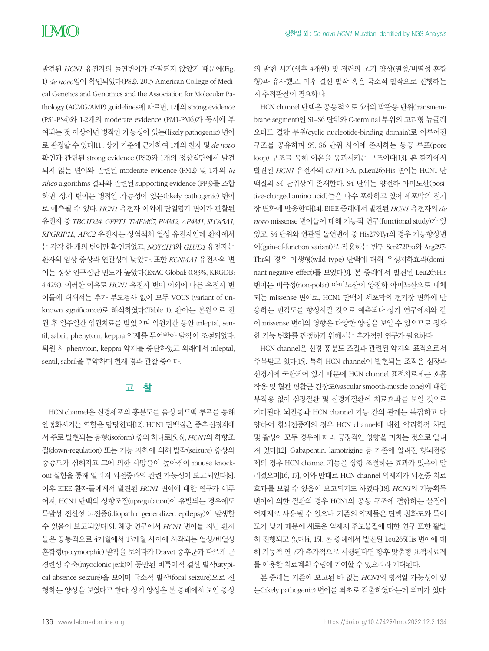발견된 *HCN1* 유전자의 돌연변이가 관찰되지 않았기 때문에(Fig. 1) *de novo*임이 확인되었다(PS2). 2015 American College of Medical Genetics and Genomics and the Association for Molecular Pathology (ACMG/AMP) guidelines에 따르면, 1개의 strong evidence (PS1-PS4)와 1-2개의 moderate evidence (PM1-PM6)가 동시에 부 여되는 것 이상이면 병적인 가능성이 있는(likely pathogenic) 변이 로 판정할 수 있다[11]. 상기 기준에 근거하여 1개의 친자 및 *de novo* 확인과 관련된 strong evidence (PS2)와 1개의 정상집단에서 발견 되지 않는 변이와 관련된 moderate evidence (PM2) 및 1개의 *in silico* algorithms 결과와 관련된 supporting evidence (PP3)를 조합 하면, 상기 변이는 병적일 가능성이 있는(likely pathogenic) 변이 로 예측될 수 있다. *HCN1* 유전자 이외에 단일염기 변이가 관찰된 유전자 중 *TBC1D24, GFPT1, TMEM67, PMM2, AP4M1, SLC45A1, RPGRIP1L, APC2* 유전자는 상염색체 열성 유전자인데 환자에서 는 각각 한 개의 변이만 확인되었고, *NOTCH3*와 *GLUD1* 유전자는 환자의 임상 증상과 연관성이 낮았다. 또한 *KCNMA1* 유전자의 변 이는 정상 인구집단 빈도가 높았다(ExAC Global: 0.83%, KRGDB: 4.42%). 이러한 이유로 *HCN1* 유전자 변이 이외에 다른 유전자 변 이들에 대해서는 추가 부모검사 없이 모두 VOUS (variant of unknown signicance)로 해석하였다(Table 1). 환아는 본원으로 전 원 후 일주일간 입원치료를 받았으며 입원기간 동안 trileptal, sentil, sabril, phenytoin, keppra 약제를 투여받아 발작이 조절되었다. 퇴원 시 phenytoin, keppra 약제를 중단하였고 외래에서 trileptal, sentil, sabril을 투약하며 현재 경과 관찰 중이다.

# 고 찰

HCN channel은 신경세포의 흥분도를 음성 피드백 루프를 통해 안정화시키는 역할을 담당한다[12]. HCN1 단백질은 중추신경계에 서 주로 발현되는 동형(isoform) 중의 하나로[5, 6], *HCN1*의 하향조 절(down-regulation) 또는 기능 저하에 의해 발작(seizure) 증상의 중증도가 심해지고 그에 의한 사망률이 높아짐이 mouse knockout 실험을 통해 알려져 뇌전증과의 관련 가능성이 보고되었다[8]. 이후 EIEE 환자들에게서 발견된 *HCN1* 변이에 대한 연구가 이루 어져, HCN1 단백의 상향조절(upregulation)이 유발되는 경우에도 특발성 전신성 뇌전증(idiopathic generalized epilepsy)이 발생할 수 있음이 보고되었다[9]. 해당 연구에서 *HCN1* 변이를 지닌 환자 들은 공통적으로 4개월에서 13개월 사이에 시작되는 열성/비열성 혼합형(polymorphic) 발작을 보이다가 Dravet 증후군과 다르게 근 경련성 수축(myoclonic jerk)이 동반된 비특이적 결신 발작(atypical absence seizure)을 보이며 국소적 발작(focal seizure)으로 진 행하는 양상을 보였다고 한다. 상기 양상은 본 증례에서 보인 증상

의 발현 시기(생후 4개월) 및 경련의 초기 양상(열성/비열성 혼합 형)과 유사했고, 이후 결신 발작 혹은 국소적 발작으로 진행하는 지 추적관찰이 필요하다.

HCN channel 단백은 공통적으로 6개의 막관통 단위(transmembrane segment)인 S1–S6 단위와 C-terminal 부위의 고리형 뉴클레 오티드 결합 부위(cyclic nucleotide-binding domain)로 이루어진 구조를 공유하며 S5, S6 단위 사이에 존재하는 동공 루프(pore loop) 구조를 통해 이온을 통과시키는 구조이다[13]. 본 환자에서 발견된 *HCN1* 유전자의 c.794T>A, p.Leu265His 변이는 HCN1 단 백질의 S4 단위상에 존재한다. S4 단위는 양전하 아미노산(positive-charged amino acid)들을 다수 포함하고 있어 세포막의 전기 장 변화에 반응한다[14]. EIEE 증례에서 발견된 *HCN1* 유전자의 *de novo* missense 변이들에 대해 기능적 연구(functional study)가 있 었고, S4 단위와 연관된 돌연변이 중 His279Tyr의 경우 기능향상변 이(gain-of-function variant)로 작용하는 반면 Ser272Pro와 Arg297- Thr의 경우 야생형(wild type) 단백에 대해 우성저하효과(dominant-negative effect)를 보였다[9]. 본 증례에서 발견된 Leu265His 변이는 비극성(non-polar) 아미노산이 양전하 아미노산으로 대체 되는 missense 변이로, HCN1 단백이 세포막의 전기장 변화에 반 응하는 민감도를 향상시킬 것으로 예측되나 상기 연구에서와 같 이 missense 변이의 영향은 다양한 양상을 보일 수 있으므로 정확 한 기능 변화를 판정하기 위해서는 추가적인 연구가 필요하다.

HCN channel은 신경 흥분도 조절과 관련된 약제의 표적으로서 주목받고 있다[15]. 특히 HCN channel이 발현되는 조직은 심장과 신경계에 국한되어 있기 때문에 HCN channel 표적치료제는 호흡 작용 및 혈관 평활근 긴장도(vascular smooth-muscle tone)에 대한 부작용 없이 심장질환 및 신경계질환에 치료효과를 보일 것으로 기대된다. 뇌전증과 HCN channel 기능 간의 관계는 복잡하고 다 양하여 항뇌전증제의 경우 HCN channel에 대한 약리학적 차단 및 활성이 모두 경우에 따라 긍정적인 영향을 미치는 것으로 알려 져 있다[12]. Gabapentin, lamotrigine 등 기존에 알려진 항뇌전증 제의 경우 HCN channel 기능을 상향 조절하는 효과가 있음이 알 려졌으며[16, 17], 이와 반대로 HCN channel 억제제가 뇌전증 치료 효과를 보일 수 있음이 보고되기도 하였다[18]. *HCN1*의 기능획득 변이에 의한 질환의 경우 HCN1의 공동 구조에 결합하는 물질이 억제제로 사용될 수 있으나, 기존의 약제들은 단백 친화도와 특이 도가 낮기 때문에 새로운 억제제 후보물질에 대한 연구 또한 활발 히 진행되고 있다[4, 15]. 본 증례에서 발견된 Leu265His 변이에 대 해 기능적 연구가 추가적으로 시행된다면 향후 맞춤형 표적치료제 를 이용한 치료계획 수립에 기여할 수 있으리라 기대된다.

본 증례는 기존에 보고된 바 없는 *HCN1*의 병적일 가능성이 있 는(likely pathogenic) 변이를 최초로 검출하였다는데 의미가 있다.